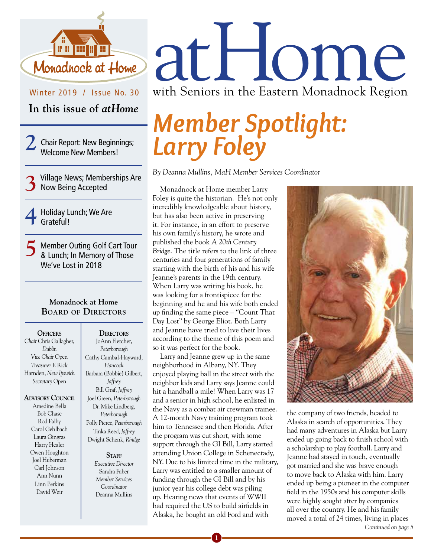

Winter 2019 / Issue No. 30

**In this issue of** *atHome*

2 Chair Report: New Beginnings;<br>Welcome New Members!

- **3**Village News; Memberships Are Now Being Accepted
- **4** Holiday Lunch; We Are Grateful!

5 Member Outing Golf Cart Tour<br>8 Lunch; In Memory of Those We've Lost in 2018

#### **Monadnock at Home BOArd Of directOrs**

**Officers** *Chair* Chris Gallagher, *Dublin Vice Chair* Open *Treasurer* F. Rick Harnden, *New Ipswich Secretary* Open

**ADVISORY** COUNCIL Amedine Bella Bob Chase Rod Falby Carol Gehlbach Laura Gingras Harry Healer Owen Houghton Joel Huberman Carl Johnson Ann Nunn Linn Perkins David Weir

JoAnn Fletcher, *Peterborough* Cathy Cambal-Hayward, *Hancock* Barbara (Bobbie) Gilbert, *Jaffrey* Bill Graf, *Jaffrey* Joel Green, *Peterborough* Dr. Mike Lindberg, *Peterborough* Polly Pierce, *Peterborough* Tinka Reed, *Jaffrey* Dwight Schenk, *Rindge*

DIRECTORS

#### STAFF

*Executive Director* Sandra Faber *Member Services Coordinator*  Deanna Mullins

atHome with Seniors in the Eastern Monadnock Region

## *Member Spotlight: Larry Foley*

*By Deanna Mullins, MaH Member Services Coordinator*

Monadnock at Home member Larry Foley is quite the historian. He's not only incredibly knowledgeable about history, but has also been active in preserving it. For instance, in an effort to preserve his own family's history, he wrote and published the book *A 20th Century Bridge*. The title refers to the link of three centuries and four generations of family starting with the birth of his and his wife Jeanne's parents in the 19th century. When Larry was writing his book, he was looking for a frontispiece for the beginning and he and his wife both ended up finding the same piece – "Count That Day Lost" by George Eliot. Both Larry and Jeanne have tried to live their lives according to the theme of this poem and so it was perfect for the book.

Larry and Jeanne grew up in the same neighborhood in Albany, NY. They enjoyed playing ball in the street with the neighbor kids and Larry says Jeanne could hit a handball a mile! When Larry was 17 and a senior in high school, he enlisted in the Navy as a combat air crewman trainee. A 12-month Navy training program took him to Tennessee and then Florida. After the program was cut short, with some support through the GI Bill, Larry started attending Union College in Schenectady, NY. Due to his limited time in the military, Larry was entitled to a smaller amount of funding through the GI Bill and by his junior year his college debt was piling up. Hearing news that events of WWII had required the US to build airfields in Alaska, he bought an old Ford and with



the company of two friends, headed to Alaska in search of opportunities. They had many adventures in Alaska but Larry ended up going back to finish school with a scholarship to play football. Larry and Jeanne had stayed in touch, eventually got married and she was brave enough to move back to Alaska with him. Larry ended up being a pioneer in the computer field in the 1950s and his computer skills were highly sought after by companies all over the country. He and his family moved a total of 24 times, living in places

*Continued on page 5*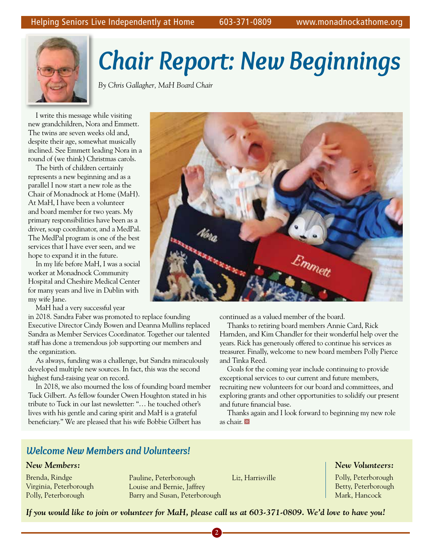

# *Chair Report: New Beginnings Chair Report: New Beginnings*

*By Chris Gallagher, MaH Board Chair By Chris Gallagher, MaH Board Chair*

I write this message while visiting I write this message while visiting new grandchildren, Nora and Emmett. new grandchildren, Nora and Emmett. The twins are seven weeks old and, The twins are seven weeks old and, despite their age, somewhat musically despite their age, somewhat musically inclined. See Emmett leading Nora in a inclined. See Emmett leading Nora in a round of (we think) Christmas carols. round of (we think) Christmas carols.

The birth of children certainly The birth of children certainly represents a new beginning and as a represents a new beginning and as a parallel I now start a new role as the parallel I now start a new role as the Chair of Monadnock at Home (MaH). Chair of Monadnock at Home (MaH). At MaH, I have been a volunteer At MaH, I have been a volunteer and board member for two years. My and board member for two years. My primary responsibilities have been as a primary responsibilities have been as a driver, soup coordinator, and a MedPal. driver, soup coordinator, and a MedPal. The MedPal program is one of the best The MedPal program is one of the best services that I have ever seen, and we services that I have ever seen, and we hope to expand it in the future. hope to expand it in the future.

In my life before MaH, I was a social In my life before MaH, I was a social worker at Monadnock Community worker at Monadnock Community Hospital and Cheshire Medical Center Hospital and Cheshire Medical Center for many years and live in Dublin with for many years and live in Dublin with my wife Jane. my wife Jane.

MaH had a very successful year MaH had a very successful year

in 2018. Sandra Faber was promoted to replace founding in 2018. Sandra Faber was promoted to replace founding Executive Director Cindy Bowen and Deanna Mullins replaced Executive Director Cindy Bowen and Deanna Mullins replaced Sandra as Member Services Coordinator. Together our talented Sandra as Member Services Coordinator. Together our talented staff has done a tremendous job supporting our members and staff has done a tremendous job supporting our members and the organization. the organization.

As always, funding was a challenge, but Sandra miraculously As always, funding was a challenge, but Sandra miraculously developed multiple new sources. In fact, this was the second developed multiple new sources. In fact, this was the second highest fund-raising year on record. highest fund-raising year on record.

In 2018, we also mourned the loss of founding board member In 2018, we also mourned the loss of founding board member Tuck Gilbert. As fellow founder Owen Houghton stated in his Tuck Gilbert. As fellow founder Owen Houghton stated in his tribute to Tuck in our last newsletter: "… he touched other's tribute to Tuck in our last newsletter: "… he touched other's lives with his gentle and caring spirit and MaH is a grateful lives with his gentle and caring spirit and MaH is a grateful beneficiary." We are pleased that his wife Bobbie Gilbert has beneficiary." We are pleased that his wife Bobbie Gilbert has

### *Welcome New Members and Volunteers! Welcome New Members and Volunteers!*

#### *New Members: New Members:*

Brenda, Rindge Brenda, Rindge Virginia, Peterborough Virginia, Peterborough Polly, Peterborough Polly, Peterborough

Pauline, Peterborough Pauline, Peterborough Louise and Bernie, Jaffrey Louise and Bernie, Jaffrey Barry and Susan, Peterborough Barry and Susan, Peterborough

Liz, Harrisville Liz, Harrisville

#### *New Volunteers: New Volunteers:*

Polly, Peterborough Polly, Peterborough Betty, Peterborough Betty, Peterborough Mark, Hancock Mark, Hancock





continued as a valued member of the board. continued as a valued member of the board.

Thanks to retiring board members Annie Card, Rick Thanks to retiring board members Annie Card, Rick Harnden, and Kim Chandler for their wonderful help over the Harnden, and Kim Chandler for their wonderful help over the years. Rick has generously offered to continue his services as years. Rick has generously offered to continue his services as treasurer. Finally, welcome to new board members Polly Pierce treasurer. Finally, welcome to new board members Polly Pierce and Tinka Reed. and Tinka Reed.

Goals for the coming year include continuing to provide Goals for the coming year include continuing to provide exceptional services to our current and future members, exceptional services to our current and future members, recruiting new volunteers for our board and committees, and recruiting new volunteers for our board and committees, and exploring grants and other opportunities to solidify our present exploring grants and other opportunities to solidify our present and future financial base. and future financial base.

Thanks again and I look forward to beginning my new role Thanks again and I look forward to beginning my new role as chair. **@** 

**2 3 4 2 3 4**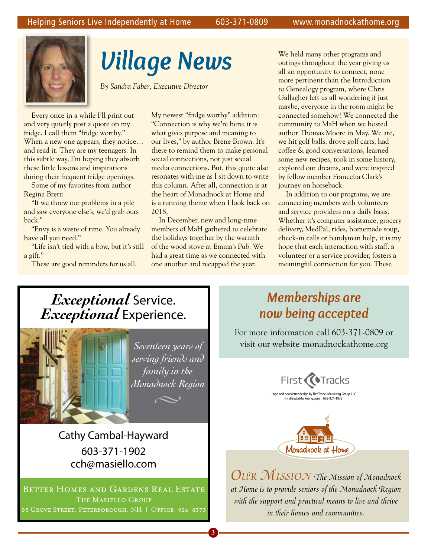

# *Village News*

*By Sandra Faber, Executive Director* 

Every once in a while I'll print out and very quietly post a quote on my fridge. I call them "fridge worthy." When a new one appears, they notice... and read it. They are my teenagers. In this subtle way, I'm hoping they absorb these little lessons and inspirations during their frequent fridge openings.

Some of my favorites from author Regina Brett:

"If we threw our problems in a pile and saw everyone else's, we'd grab ours back."

"Envy is a waste of time. You already have all you need."

"Life isn't tied with a bow, but it's still a gift."

These are good reminders for us all.

My newest "fridge worthy" addition: "Connection is why we're here; it is what gives purpose and meaning to our lives," by author Brene Brown. It's there to remind them to make personal social connections, not just social media connections. But, this quote also resonates with me as I sit down to write this column. After all, connection is at the heart of Monadnock at Home and is a running theme when I look back on 2018.

In December, new and long-time members of MaH gathered to celebrate the holidays together by the warmth of the wood stove at Emma's Pub. We had a great time as we connected with one another and recapped the year.

We held many other programs and outings throughout the year giving us all an opportunity to connect, none more pertinent than the Introduction to Genealogy program, where Chris Gallagher left us all wondering if just maybe, everyone in the room might be connected somehow! We connected the community to MaH when we hosted author Thomas Moore in May. We ate, we hit golf balls, drove golf carts, had coffee & good conversations, learned some new recipes, took in some history, explored our dreams, and were inspired by fellow member Francelia Clark's journey on horseback.

In addition to our programs, we are connecting members with volunteers and service providers on a daily basis. Whether it's computer assistance, grocery delivery, MedPal, rides, homemade soup, check-in calls or handyman help, it is my hope that each interaction with staff, a volunteer or a service provider, fosters a meaningful connection for you. These

## *Exceptional* Service. *Exceptional* Experience.



Cathy Cambal-Hayward 603-371-1902 cch@masiello.com

BETTER HOMES AND GARDENS REAL ESTATE The Masiello Group 95 Grove Street, Peterborough, NH **|** Off ice: 924-8373

## *Memberships are now being accepted*

For more information call 603-371-0809 or visit our website monadnockathome.org





*Our MissiOn The Mission of Monadnock at Home is to provide seniors of the Monadnock Region with the support and practical means to live and thrive in their homes and communities.*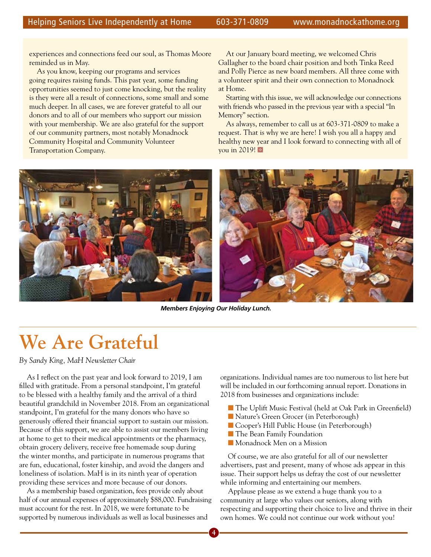experiences and connections feed our soul, as Thomas Moore reminded us in May.

As you know, keeping our programs and services going requires raising funds. This past year, some funding opportunities seemed to just come knocking, but the reality is they were all a result of connections, some small and some much deeper. In all cases, we are forever grateful to all our donors and to all of our members who support our mission with your membership. We are also grateful for the support of our community partners, most notably Monadnock Community Hospital and Community Volunteer Transportation Company.

At our January board meeting, we welcomed Chris Gallagher to the board chair position and both Tinka Reed and Polly Pierce as new board members. All three come with a volunteer spirit and their own connection to Monadnock at Home.

Starting with this issue, we will acknowledge our connections with friends who passed in the previous year with a special "In Memory" section.

As always, remember to call us at 603-371-0809 to make a request. That is why we are here! I wish you all a happy and healthy new year and I look forward to connecting with all of vou in 2019!



*Members Enjoying Our Holiday Lunch.*

## **We Are Grateful**

*By Sandy King, MaH Newsletter Chair*

As I reflect on the past year and look forward to 2019, I am filled with gratitude. From a personal standpoint, I'm grateful to be blessed with a healthy family and the arrival of a third beautiful grandchild in November 2018. From an organizational standpoint, I'm grateful for the many donors who have so generously offered their financial support to sustain our mission. Because of this support, we are able to assist our members living at home to get to their medical appointments or the pharmacy, obtain grocery delivery, receive free homemade soup during the winter months, and participate in numerous programs that are fun, educational, foster kinship, and avoid the dangers and loneliness of isolation. MaH is in its ninth year of operation providing these services and more because of our donors.

As a membership based organization, fees provide only about half of our annual expenses of approximately \$88,000. Fundraising must account for the rest. In 2018, we were fortunate to be supported by numerous individuals as well as local businesses and

organizations. Individual names are too numerous to list here but will be included in our forthcoming annual report. Donations in 2018 from businesses and organizations include:

- The Uplift Music Festival (held at Oak Park in Greenfield)
- **Nature's Green Grocer (in Peterborough)**
- **n** Cooper's Hill Public House (in Peterborough)
- n The Bean Family Foundation
- n Monadnock Men on a Mission

Of course, we are also grateful for all of our newsletter advertisers, past and present, many of whose ads appear in this issue. Their support helps us defray the cost of our newsletter while informing and entertaining our members.

Applause please as we extend a huge thank you to a community at large who values our seniors, along with respecting and supporting their choice to live and thrive in their own homes. We could not continue our work without you!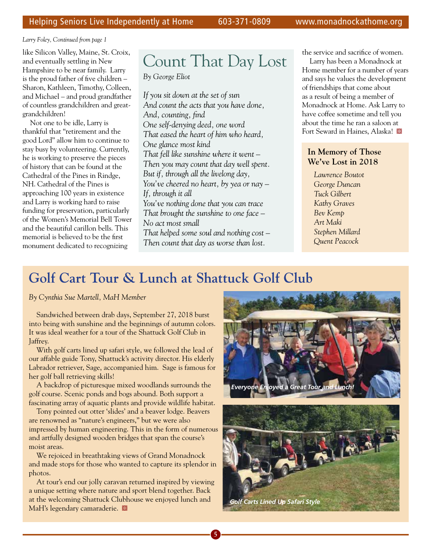*Larry Foley, Continued from page 1*

like Silicon Valley, Maine, St. Croix, and eventually settling in New Hampshire to be near family. Larry is the proud father of five children – Sharon, Kathleen, Timothy, Colleen, and Michael – and proud grandfather of countless grandchildren and greatgrandchildren!

Not one to be idle, Larry is thankful that "retirement and the good Lord" allow him to continue to stay busy by volunteering. Currently, he is working to preserve the pieces of history that can be found at the Cathedral of the Pines in Rindge, NH. Cathedral of the Pines is approaching 100 years in existence and Larry is working hard to raise funding for preservation, particularly of the Women's Memorial Bell Tower and the beautiful carillon bells. This memorial is believed to be the first monument dedicated to recognizing

## Count That Day Lost

*By George Eliot*

*If you sit down at the set of sun And count the acts that you have done, And, counting, find One self-denying deed, one word That eased the heart of him who heard, One glance most kind That fell like sunshine where it went – Then you may count that day well spent. But if, through all the livelong day, You've cheered no heart, by yea or nay – If, through it all You've nothing done that you can trace That brought the sunshine to one face – No act most small That helped some soul and nothing cost –* 

*Then count that day as worse than lost.*

the service and sacrifice of women.

Larry has been a Monadnock at Home member for a number of years and says he values the development of friendships that come about as a result of being a member of Monadnock at Home. Ask Larry to have coffee sometime and tell you about the time he ran a saloon at Fort Seward in Haines, Alaska!

#### **In Memory of Those We've Lost in 2018**

*Lawrence Boutot George Duncan Tuck Gilbert Kathy Graves Bev Kemp Art Maki Stephen Millard Quent Peacock*

## **Golf Cart Tour & Lunch at Shattuck Golf Club**

*By Cynthia Sue Martell, MaH Member*

Sandwiched between drab days, September 27, 2018 burst into being with sunshine and the beginnings of autumn colors. It was ideal weather for a tour of the Shattuck Golf Club in Jaffrey.

With golf carts lined up safari style, we followed the lead of our affable guide Tony, Shattuck's activity director. His elderly Labrador retriever, Sage, accompanied him. Sage is famous for her golf ball retrieving skills!

A backdrop of picturesque mixed woodlands surrounds the golf course. Scenic ponds and bogs abound. Both support a fascinating array of aquatic plants and provide wildlife habitat.

Tony pointed out otter 'slides' and a beaver lodge. Beavers are renowned as "nature's engineers," but we were also impressed by human engineering. This in the form of numerous and artfully designed wooden bridges that span the course's moist areas.

We rejoiced in breathtaking views of Grand Monadnock and made stops for those who wanted to capture its splendor in photos.

At tour's end our jolly caravan returned inspired by viewing a unique setting where nature and sport blend together. Back at the welcoming Shattuck Clubhouse we enjoyed lunch and MaH's legendary camaraderie.



**5 6**